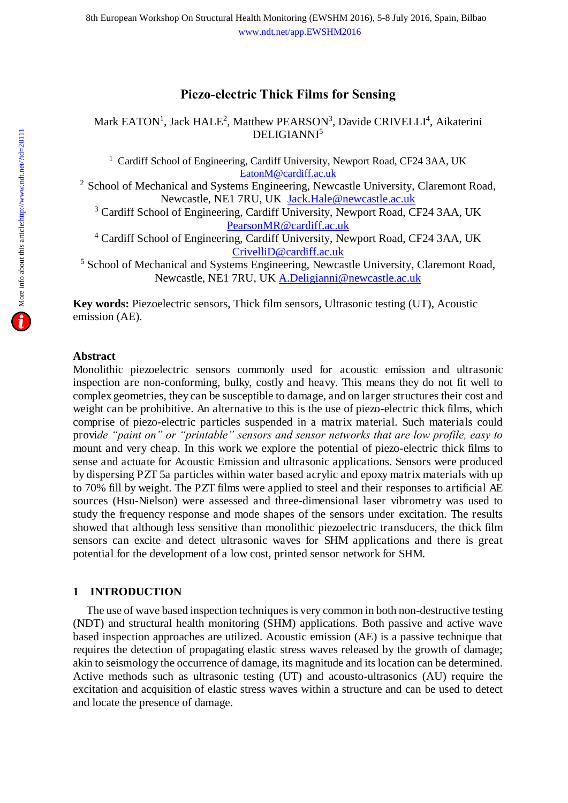# **Piezo-electric Thick Films for Sensing**

Mark EATON<sup>1</sup>, Jack HALE<sup>2</sup>, Matthew PEARSON<sup>3</sup>[, Davide CRIVELLI](http://www.ndt.net/events/index.php?eventID=34&AuthorID=9626&IsContact=0®view=1&TopicID=3411)<sup>4</sup>, Aikaterini [DELIGIANNI](http://www.ndt.net/events/index.php?eventID=34&AuthorID=9627&IsContact=0®view=1&TopicID=3411)<sup>5</sup>

<sup>1</sup> Cardiff School of Engineering, Cardiff University, Newport Road, CF24 3AA, UK [EatonM@cardiff.ac.uk](mailto:EatonM@cardiff.ac.uk)

<sup>2</sup> School of Mechanical and Systems Engineering, Newcastle University, Claremont Road, Newcastle, NE1 7RU, UK [Jack.Hale@newcastle.ac.uk](mailto:Jack.Hale@newcastle.ac.uk)

<sup>3</sup> Cardiff School of Engineering, Cardiff University, Newport Road, CF24 3AA, UK [PearsonMR@cardiff.ac.uk](mailto:PearsonMR@cardiff.ac.uk) 

<sup>4</sup> Cardiff School of Engineering, Cardiff University, Newport Road, CF24 3AA, UK [CrivelliD@cardiff.ac.uk](mailto:CrivelliD@cardiff.ac.uk) 

<sup>5</sup> School of Mechanical and Systems Engineering, Newcastle University, Claremont Road, Newcastle, NE1 7RU, UK [A.Deligianni@newcastle.ac.uk](mailto:A.Deligianni@newcastle.ac.uk) 

**Key words:** Piezoelectric sensors, Thick film sensors, Ultrasonic testing (UT), Acoustic emission (AE).

## **Abstract**

Monolithic piezoelectric sensors commonly used for acoustic emission and ultrasonic inspection are non-conforming, bulky, costly and heavy. This means they do not fit well to complex geometries, they can be susceptible to damage, and on larger structures their cost and weight can be prohibitive. An alternative to this is the use of piezo-electric thick films, which comprise of piezo-electric particles suspended in a matrix material. Such materials could provi*de "paint on" or "printable" sensors and sensor networks that are low profile, easy to*  mount and very cheap. In this work we explore the potential of piezo-electric thick films to sense and actuate for Acoustic Emission and ultrasonic applications. Sensors were produced by dispersing PZT 5a particles within water based acrylic and epoxy matrix materials with up to 70% fill by weight. The PZT films were applied to steel and their responses to artificial AE sources (Hsu-Nielson) were assessed and three-dimensional laser vibrometry was used to study the frequency response and mode shapes of the sensors under excitation. The results showed that although less sensitive than monolithic piezoelectric transducers, the thick film sensors can excite and detect ultrasonic waves for SHM applications and there is great potential for the development of a low cost, printed sensor network for SHM.

# **1 INTRODUCTION**

The use of wave based inspection techniques is very common in both non-destructive testing (NDT) and structural health monitoring (SHM) applications. Both passive and active wave based inspection approaches are utilized. Acoustic emission (AE) is a passive technique that requires the detection of propagating elastic stress waves released by the growth of damage; akin to seismology the occurrence of damage, its magnitude and its location can be determined. Active methods such as ultrasonic testing (UT) and acousto-ultrasonics (AU) require the excitation and acquisition of elastic stress waves within a structure and can be used to detect and locate the presence of damage.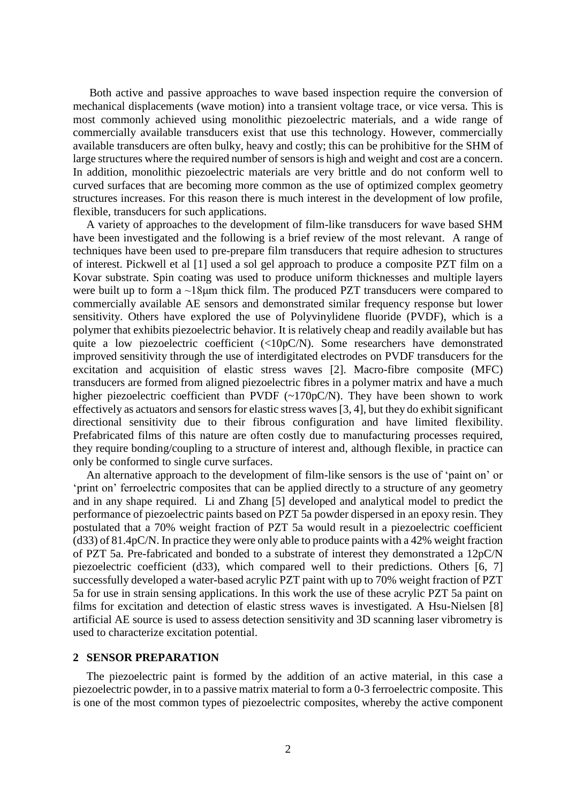Both active and passive approaches to wave based inspection require the conversion of mechanical displacements (wave motion) into a transient voltage trace, or vice versa. This is most commonly achieved using monolithic piezoelectric materials, and a wide range of commercially available transducers exist that use this technology. However, commercially available transducers are often bulky, heavy and costly; this can be prohibitive for the SHM of large structures where the required number of sensors is high and weight and cost are a concern. In addition, monolithic piezoelectric materials are very brittle and do not conform well to curved surfaces that are becoming more common as the use of optimized complex geometry structures increases. For this reason there is much interest in the development of low profile, flexible, transducers for such applications.

A variety of approaches to the development of film-like transducers for wave based SHM have been investigated and the following is a brief review of the most relevant. A range of techniques have been used to pre-prepare film transducers that require adhesion to structures of interest. Pickwell et al [1] used a sol gel approach to produce a composite PZT film on a Kovar substrate. Spin coating was used to produce uniform thicknesses and multiple layers were built up to form a ~18μm thick film. The produced PZT transducers were compared to commercially available AE sensors and demonstrated similar frequency response but lower sensitivity. Others have explored the use of [Polyvinylidene fluoride](https://en.wikipedia.org/wiki/Polyvinylidene_fluoride) (PVDF), which is a polymer that exhibits piezoelectric behavior. It is relatively cheap and readily available but has quite a low piezoelectric coefficient (<10pC/N). Some researchers have demonstrated improved sensitivity through the use of interdigitated electrodes on PVDF transducers for the excitation and acquisition of elastic stress waves [2]. Macro-fibre composite (MFC) transducers are formed from aligned piezoelectric fibres in a polymer matrix and have a much higher piezoelectric coefficient than PVDF (~170pC/N). They have been shown to work effectively as actuators and sensors for elastic stress waves [3, 4], but they do exhibit significant directional sensitivity due to their fibrous configuration and have limited flexibility. Prefabricated films of this nature are often costly due to manufacturing processes required, they require bonding/coupling to a structure of interest and, although flexible, in practice can only be conformed to single curve surfaces.

An alternative approach to the development of film-like sensors is the use of 'paint on' or 'print on' ferroelectric composites that can be applied directly to a structure of any geometry and in any shape required. Li and Zhang [5] developed and analytical model to predict the performance of piezoelectric paints based on PZT 5a powder dispersed in an epoxy resin. They postulated that a 70% weight fraction of PZT 5a would result in a piezoelectric coefficient (d33) of 81.4pC/N. In practice they were only able to produce paints with a 42% weight fraction of PZT 5a. Pre-fabricated and bonded to a substrate of interest they demonstrated a 12pC/N piezoelectric coefficient (d33), which compared well to their predictions. Others [6, 7] successfully developed a water-based acrylic PZT paint with up to 70% weight fraction of PZT 5a for use in strain sensing applications. In this work the use of these acrylic PZT 5a paint on films for excitation and detection of elastic stress waves is investigated. A Hsu-Nielsen [8] artificial AE source is used to assess detection sensitivity and 3D scanning laser vibrometry is used to characterize excitation potential.

#### **2 SENSOR PREPARATION**

The piezoelectric paint is formed by the addition of an active material, in this case a piezoelectric powder, in to a passive matrix material to form a 0-3 ferroelectric composite. This is one of the most common types of piezoelectric composites, whereby the active component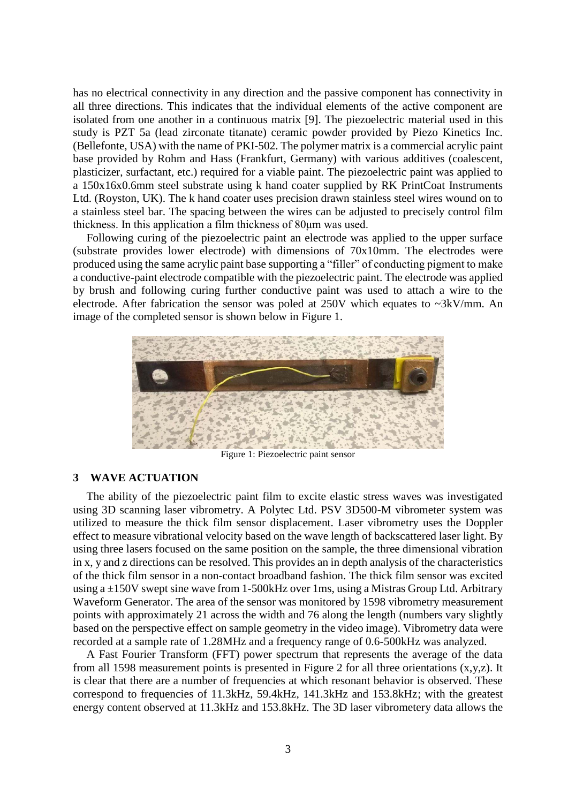has no electrical connectivity in any direction and the passive component has connectivity in all three directions. This indicates that the individual elements of the active component are isolated from one another in a continuous matrix [9]. The piezoelectric material used in this study is PZT 5a (lead zirconate titanate) ceramic powder provided by Piezo Kinetics Inc. (Bellefonte, USA) with the name of PKI-502. The polymer matrix is a commercial acrylic paint base provided by Rohm and Hass (Frankfurt, Germany) with various additives (coalescent, plasticizer, surfactant, etc.) required for a viable paint. The piezoelectric paint was applied to a 150x16x0.6mm steel substrate using k hand coater supplied by RK PrintCoat Instruments Ltd. (Royston, UK). The k hand coater uses precision drawn stainless steel wires wound on to a stainless steel bar. The spacing between the wires can be adjusted to precisely control film thickness. In this application a film thickness of 80μm was used.

Following curing of the piezoelectric paint an electrode was applied to the upper surface (substrate provides lower electrode) with dimensions of 70x10mm. The electrodes were produced using the same acrylic paint base supporting a "filler" of conducting pigment to make a conductive-paint electrode compatible with the piezoelectric paint. The electrode was applied by brush and following curing further conductive paint was used to attach a wire to the electrode. After fabrication the sensor was poled at 250V which equates to ~3kV/mm. An image of the completed sensor is shown below in Figure 1.



Figure 1: Piezoelectric paint sensor

## **3 WAVE ACTUATION**

The ability of the piezoelectric paint film to excite elastic stress waves was investigated using 3D scanning laser vibrometry. A Polytec Ltd. PSV 3D500-M vibrometer system was utilized to measure the thick film sensor displacement. Laser vibrometry uses the Doppler effect to measure vibrational velocity based on the wave length of backscattered laser light. By using three lasers focused on the same position on the sample, the three dimensional vibration in x, y and z directions can be resolved. This provides an in depth analysis of the characteristics of the thick film sensor in a non-contact broadband fashion. The thick film sensor was excited using a ±150V swept sine wave from 1-500kHz over 1ms, using a Mistras Group Ltd. Arbitrary Waveform Generator. The area of the sensor was monitored by 1598 vibrometry measurement points with approximately 21 across the width and 76 along the length (numbers vary slightly based on the perspective effect on sample geometry in the video image). Vibrometry data were recorded at a sample rate of 1.28MHz and a frequency range of 0.6-500kHz was analyzed.

A Fast Fourier Transform (FFT) power spectrum that represents the average of the data from all 1598 measurement points is presented in Figure 2 for all three orientations (x,y,z). It is clear that there are a number of frequencies at which resonant behavior is observed. These correspond to frequencies of 11.3kHz, 59.4kHz, 141.3kHz and 153.8kHz; with the greatest energy content observed at 11.3kHz and 153.8kHz. The 3D laser vibrometery data allows the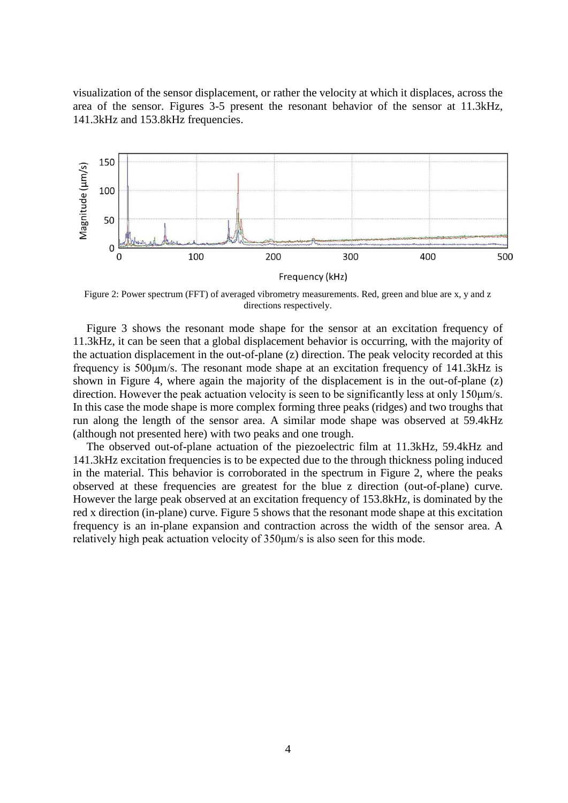visualization of the sensor displacement, or rather the velocity at which it displaces, across the area of the sensor. Figures 3-5 present the resonant behavior of the sensor at 11.3kHz, 141.3kHz and 153.8kHz frequencies.



Figure 2: Power spectrum (FFT) of averaged vibrometry measurements. Red, green and blue are x, y and z directions respectively.

Figure 3 shows the resonant mode shape for the sensor at an excitation frequency of 11.3kHz, it can be seen that a global displacement behavior is occurring, with the majority of the actuation displacement in the out-of-plane (z) direction. The peak velocity recorded at this frequency is 500μm/s. The resonant mode shape at an excitation frequency of 141.3kHz is shown in Figure 4, where again the majority of the displacement is in the out-of-plane (z) direction. However the peak actuation velocity is seen to be significantly less at only 150μm/s. In this case the mode shape is more complex forming three peaks (ridges) and two troughs that run along the length of the sensor area. A similar mode shape was observed at 59.4kHz (although not presented here) with two peaks and one trough.

The observed out-of-plane actuation of the piezoelectric film at 11.3kHz, 59.4kHz and 141.3kHz excitation frequencies is to be expected due to the through thickness poling induced in the material. This behavior is corroborated in the spectrum in Figure 2, where the peaks observed at these frequencies are greatest for the blue z direction (out-of-plane) curve. However the large peak observed at an excitation frequency of 153.8kHz, is dominated by the red x direction (in-plane) curve. Figure 5 shows that the resonant mode shape at this excitation frequency is an in-plane expansion and contraction across the width of the sensor area. A relatively high peak actuation velocity of 350μm/s is also seen for this mode.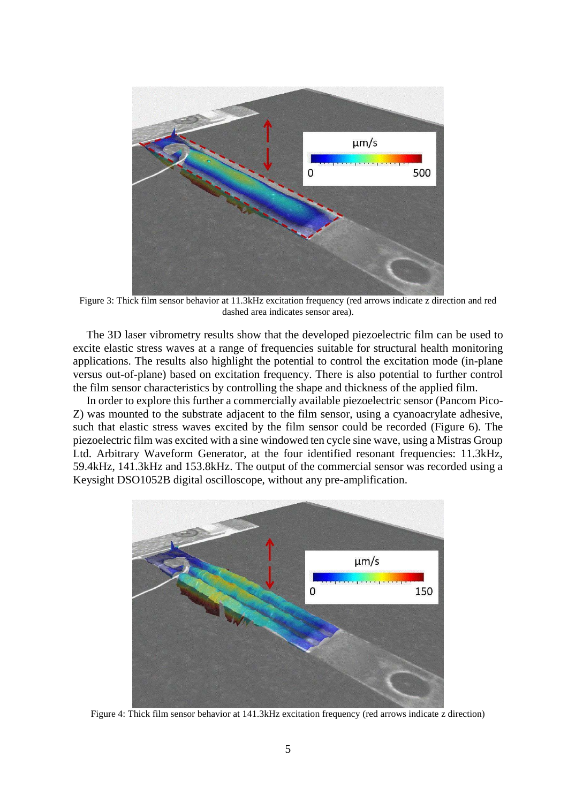

Figure 3: Thick film sensor behavior at 11.3kHz excitation frequency (red arrows indicate z direction and red dashed area indicates sensor area).

The 3D laser vibrometry results show that the developed piezoelectric film can be used to excite elastic stress waves at a range of frequencies suitable for structural health monitoring applications. The results also highlight the potential to control the excitation mode (in-plane versus out-of-plane) based on excitation frequency. There is also potential to further control the film sensor characteristics by controlling the shape and thickness of the applied film.

In order to explore this further a commercially available piezoelectric sensor (Pancom Pico-Z) was mounted to the substrate adjacent to the film sensor, using a cyanoacrylate adhesive, such that elastic stress waves excited by the film sensor could be recorded (Figure 6). The piezoelectric film was excited with a sine windowed ten cycle sine wave, using a Mistras Group Ltd. Arbitrary Waveform Generator, at the four identified resonant frequencies: 11.3kHz, 59.4kHz, 141.3kHz and 153.8kHz. The output of the commercial sensor was recorded using a Keysight DSO1052B digital oscilloscope, without any pre-amplification.



Figure 4: Thick film sensor behavior at 141.3kHz excitation frequency (red arrows indicate z direction)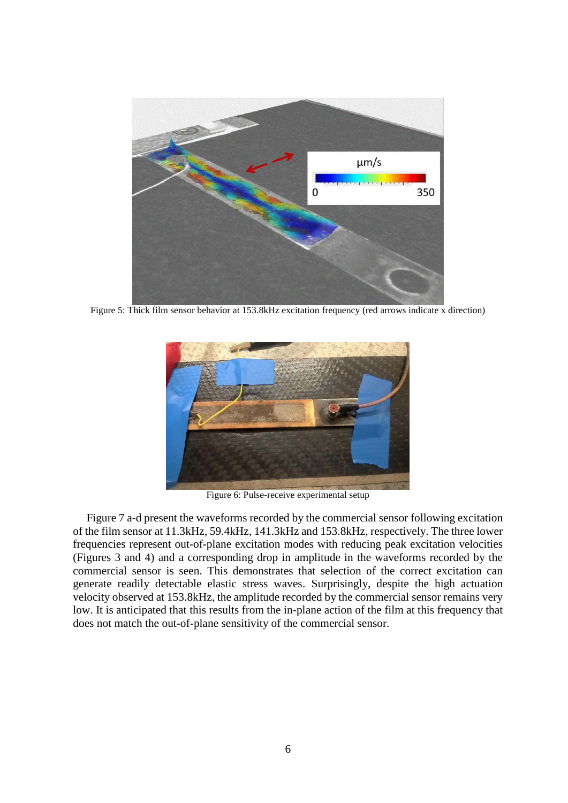

Figure 5: Thick film sensor behavior at 153.8kHz excitation frequency (red arrows indicate x direction)



Figure 6: Pulse-receive experimental setup

Figure 7 a-d present the waveforms recorded by the commercial sensor following excitation of the film sensor at 11.3kHz, 59.4kHz, 141.3kHz and 153.8kHz, respectively. The three lower frequencies represent out-of-plane excitation modes with reducing peak excitation velocities (Figures 3 and 4) and a corresponding drop in amplitude in the waveforms recorded by the commercial sensor is seen. This demonstrates that selection of the correct excitation can generate readily detectable elastic stress waves. Surprisingly, despite the high actuation velocity observed at 153.8kHz, the amplitude recorded by the commercial sensor remains very low. It is anticipated that this results from the in-plane action of the film at this frequency that does not match the out-of-plane sensitivity of the commercial sensor.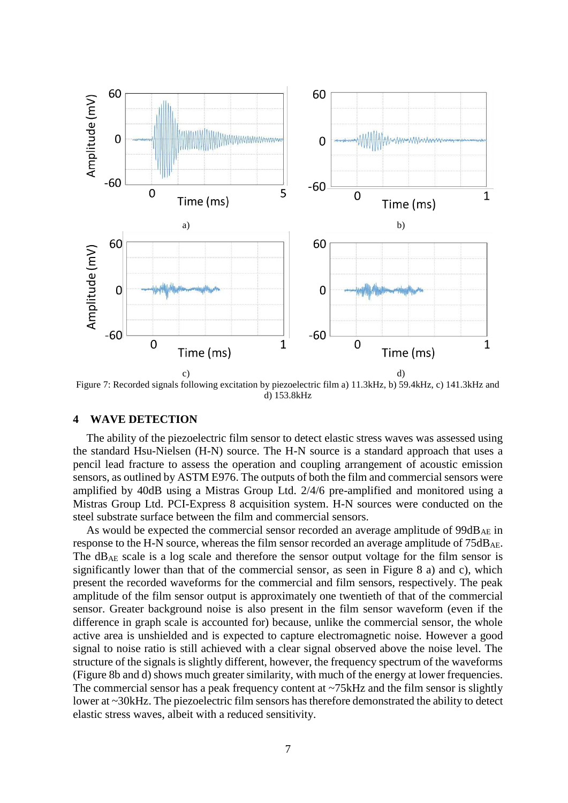

d) 153.8kHz

#### **4 WAVE DETECTION**

The ability of the piezoelectric film sensor to detect elastic stress waves was assessed using the standard Hsu-Nielsen (H-N) source. The H-N source is a standard approach that uses a pencil lead fracture to assess the operation and coupling arrangement of acoustic emission sensors, as outlined by ASTM E976. The outputs of both the film and commercial sensors were amplified by 40dB using a Mistras Group Ltd. 2/4/6 pre-amplified and monitored using a Mistras Group Ltd. PCI-Express 8 acquisition system. H-N sources were conducted on the steel substrate surface between the film and commercial sensors.

As would be expected the commercial sensor recorded an average amplitude of  $99dB_{AE}$  in response to the H-N source, whereas the film sensor recorded an average amplitude of 75dB<sub>AE</sub>. The dBAE scale is a log scale and therefore the sensor output voltage for the film sensor is significantly lower than that of the commercial sensor, as seen in Figure 8 a) and c), which present the recorded waveforms for the commercial and film sensors, respectively. The peak amplitude of the film sensor output is approximately one twentieth of that of the commercial sensor. Greater background noise is also present in the film sensor waveform (even if the difference in graph scale is accounted for) because, unlike the commercial sensor, the whole active area is unshielded and is expected to capture electromagnetic noise. However a good signal to noise ratio is still achieved with a clear signal observed above the noise level. The structure of the signals is slightly different, however, the frequency spectrum of the waveforms (Figure 8b and d) shows much greater similarity, with much of the energy at lower frequencies. The commercial sensor has a peak frequency content at ~75kHz and the film sensor is slightly lower at ~30kHz. The piezoelectric film sensors has therefore demonstrated the ability to detect elastic stress waves, albeit with a reduced sensitivity.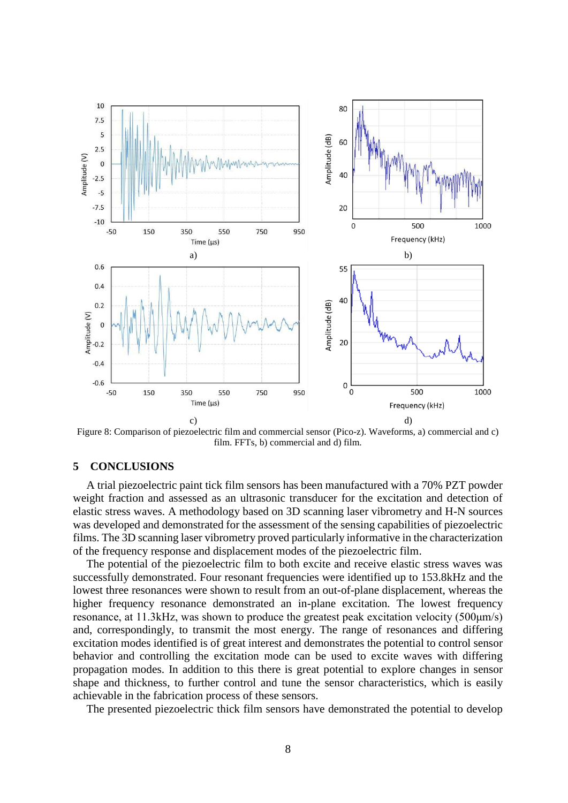

Figure 8: Comparison of piezoelectric film and commercial sensor (Pico-z). Waveforms, a) commercial and c) film. FFTs, b) commercial and d) film.

# **5 CONCLUSIONS**

A trial piezoelectric paint tick film sensors has been manufactured with a 70% PZT powder weight fraction and assessed as an ultrasonic transducer for the excitation and detection of elastic stress waves. A methodology based on 3D scanning laser vibrometry and H-N sources was developed and demonstrated for the assessment of the sensing capabilities of piezoelectric films. The 3D scanning laser vibrometry proved particularly informative in the characterization of the frequency response and displacement modes of the piezoelectric film.

The potential of the piezoelectric film to both excite and receive elastic stress waves was successfully demonstrated. Four resonant frequencies were identified up to 153.8kHz and the lowest three resonances were shown to result from an out-of-plane displacement, whereas the higher frequency resonance demonstrated an in-plane excitation. The lowest frequency resonance, at 11.3kHz, was shown to produce the greatest peak excitation velocity (500μm/s) and, correspondingly, to transmit the most energy. The range of resonances and differing excitation modes identified is of great interest and demonstrates the potential to control sensor behavior and controlling the excitation mode can be used to excite waves with differing propagation modes. In addition to this there is great potential to explore changes in sensor shape and thickness, to further control and tune the sensor characteristics, which is easily achievable in the fabrication process of these sensors.

The presented piezoelectric thick film sensors have demonstrated the potential to develop